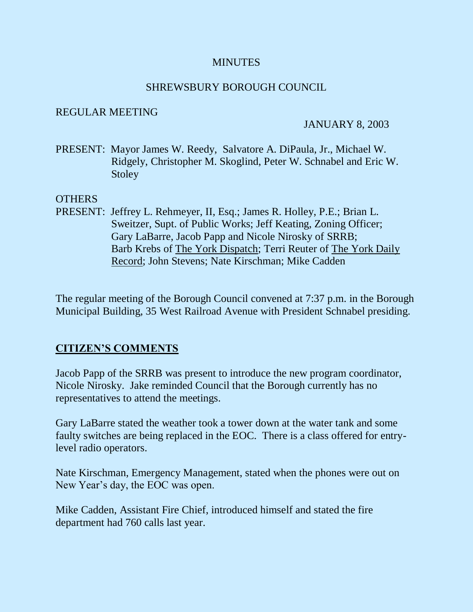#### **MINUTES**

#### SHREWSBURY BOROUGH COUNCIL

#### REGULAR MEETING

#### JANUARY 8, 2003

PRESENT: Mayor James W. Reedy, Salvatore A. DiPaula, Jr., Michael W. Ridgely, Christopher M. Skoglind, Peter W. Schnabel and Eric W. Stoley

#### OTHERS

PRESENT: Jeffrey L. Rehmeyer, II, Esq.; James R. Holley, P.E.; Brian L. Sweitzer, Supt. of Public Works; Jeff Keating, Zoning Officer; Gary LaBarre, Jacob Papp and Nicole Nirosky of SRRB; Barb Krebs of The York Dispatch; Terri Reuter of The York Daily Record; John Stevens; Nate Kirschman; Mike Cadden

The regular meeting of the Borough Council convened at 7:37 p.m. in the Borough Municipal Building, 35 West Railroad Avenue with President Schnabel presiding.

## **CITIZEN'S COMMENTS**

Jacob Papp of the SRRB was present to introduce the new program coordinator, Nicole Nirosky. Jake reminded Council that the Borough currently has no representatives to attend the meetings.

Gary LaBarre stated the weather took a tower down at the water tank and some faulty switches are being replaced in the EOC. There is a class offered for entrylevel radio operators.

Nate Kirschman, Emergency Management, stated when the phones were out on New Year's day, the EOC was open.

Mike Cadden, Assistant Fire Chief, introduced himself and stated the fire department had 760 calls last year.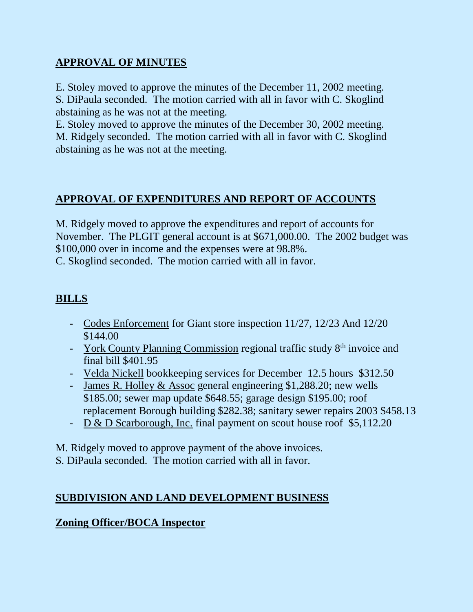# **APPROVAL OF MINUTES**

E. Stoley moved to approve the minutes of the December 11, 2002 meeting.

S. DiPaula seconded. The motion carried with all in favor with C. Skoglind abstaining as he was not at the meeting.

E. Stoley moved to approve the minutes of the December 30, 2002 meeting. M. Ridgely seconded. The motion carried with all in favor with C. Skoglind abstaining as he was not at the meeting.

# **APPROVAL OF EXPENDITURES AND REPORT OF ACCOUNTS**

M. Ridgely moved to approve the expenditures and report of accounts for November. The PLGIT general account is at \$671,000.00. The 2002 budget was \$100,000 over in income and the expenses were at 98.8%.

C. Skoglind seconded. The motion carried with all in favor.

# **BILLS**

- Codes Enforcement for Giant store inspection 11/27, 12/23 And 12/20 \$144.00
- York County Planning Commission regional traffic study  $8<sup>th</sup>$  invoice and final bill \$401.95
- Velda Nickell bookkeeping services for December 12.5 hours \$312.50
- James R. Holley & Assoc general engineering \$1,288.20; new wells \$185.00; sewer map update \$648.55; garage design \$195.00; roof replacement Borough building \$282.38; sanitary sewer repairs 2003 \$458.13
- D & D Scarborough, Inc. final payment on scout house roof \$5,112.20

M. Ridgely moved to approve payment of the above invoices. S. DiPaula seconded. The motion carried with all in favor.

## **SUBDIVISION AND LAND DEVELOPMENT BUSINESS**

## **Zoning Officer/BOCA Inspector**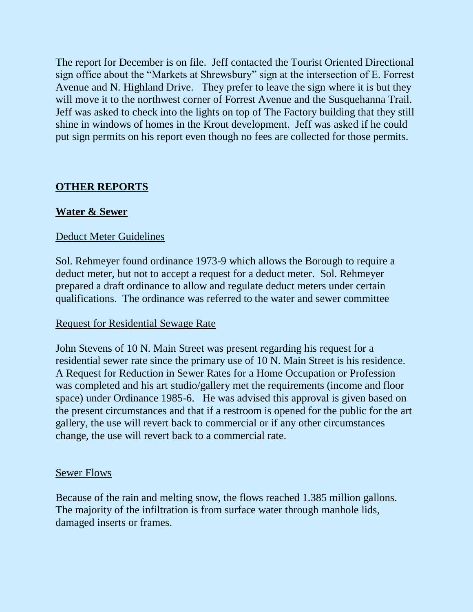The report for December is on file. Jeff contacted the Tourist Oriented Directional sign office about the "Markets at Shrewsbury" sign at the intersection of E. Forrest Avenue and N. Highland Drive. They prefer to leave the sign where it is but they will move it to the northwest corner of Forrest Avenue and the Susquehanna Trail. Jeff was asked to check into the lights on top of The Factory building that they still shine in windows of homes in the Krout development. Jeff was asked if he could put sign permits on his report even though no fees are collected for those permits.

## **OTHER REPORTS**

## **Water & Sewer**

#### Deduct Meter Guidelines

Sol. Rehmeyer found ordinance 1973-9 which allows the Borough to require a deduct meter, but not to accept a request for a deduct meter. Sol. Rehmeyer prepared a draft ordinance to allow and regulate deduct meters under certain qualifications. The ordinance was referred to the water and sewer committee

#### Request for Residential Sewage Rate

John Stevens of 10 N. Main Street was present regarding his request for a residential sewer rate since the primary use of 10 N. Main Street is his residence. A Request for Reduction in Sewer Rates for a Home Occupation or Profession was completed and his art studio/gallery met the requirements (income and floor space) under Ordinance 1985-6. He was advised this approval is given based on the present circumstances and that if a restroom is opened for the public for the art gallery, the use will revert back to commercial or if any other circumstances change, the use will revert back to a commercial rate.

#### Sewer Flows

Because of the rain and melting snow, the flows reached 1.385 million gallons. The majority of the infiltration is from surface water through manhole lids, damaged inserts or frames.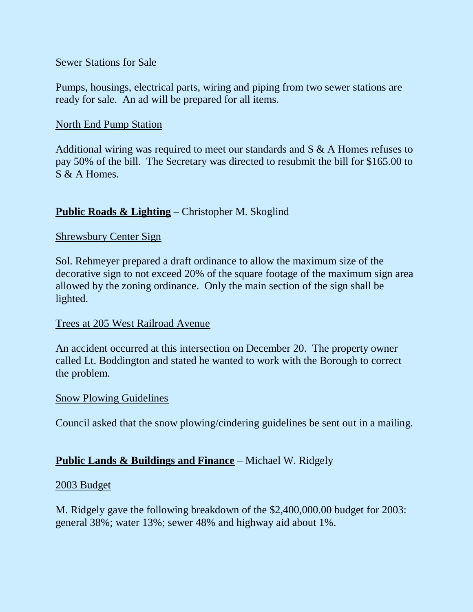#### Sewer Stations for Sale

Pumps, housings, electrical parts, wiring and piping from two sewer stations are ready for sale. An ad will be prepared for all items.

## North End Pump Station

Additional wiring was required to meet our standards and S & A Homes refuses to pay 50% of the bill. The Secretary was directed to resubmit the bill for \$165.00 to S & A Homes.

## **Public Roads & Lighting** – Christopher M. Skoglind

## Shrewsbury Center Sign

Sol. Rehmeyer prepared a draft ordinance to allow the maximum size of the decorative sign to not exceed 20% of the square footage of the maximum sign area allowed by the zoning ordinance. Only the main section of the sign shall be lighted.

## Trees at 205 West Railroad Avenue

An accident occurred at this intersection on December 20. The property owner called Lt. Boddington and stated he wanted to work with the Borough to correct the problem.

#### Snow Plowing Guidelines

Council asked that the snow plowing/cindering guidelines be sent out in a mailing.

## **Public Lands & Buildings and Finance** – Michael W. Ridgely

#### 2003 Budget

M. Ridgely gave the following breakdown of the \$2,400,000.00 budget for 2003: general 38%; water 13%; sewer 48% and highway aid about 1%.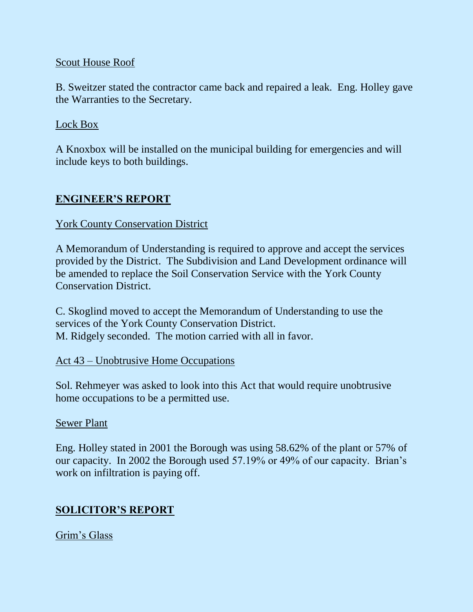#### Scout House Roof

B. Sweitzer stated the contractor came back and repaired a leak. Eng. Holley gave the Warranties to the Secretary.

#### Lock Box

A Knoxbox will be installed on the municipal building for emergencies and will include keys to both buildings.

## **ENGINEER'S REPORT**

#### York County Conservation District

A Memorandum of Understanding is required to approve and accept the services provided by the District. The Subdivision and Land Development ordinance will be amended to replace the Soil Conservation Service with the York County Conservation District.

C. Skoglind moved to accept the Memorandum of Understanding to use the services of the York County Conservation District. M. Ridgely seconded. The motion carried with all in favor.

## Act 43 – Unobtrusive Home Occupations

Sol. Rehmeyer was asked to look into this Act that would require unobtrusive home occupations to be a permitted use.

#### Sewer Plant

Eng. Holley stated in 2001 the Borough was using 58.62% of the plant or 57% of our capacity. In 2002 the Borough used 57.19% or 49% of our capacity. Brian's work on infiltration is paying off.

## **SOLICITOR'S REPORT**

Grim's Glass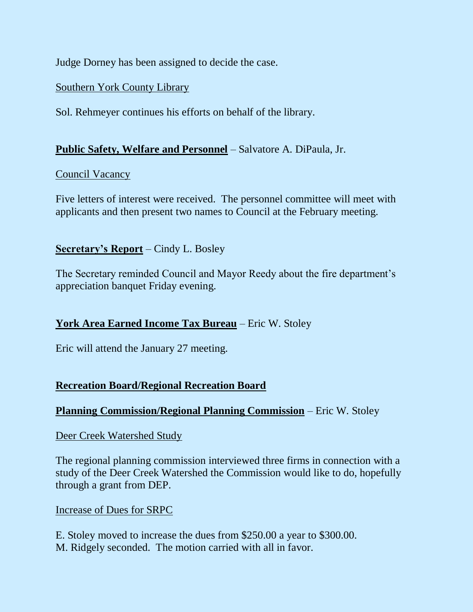Judge Dorney has been assigned to decide the case.

## Southern York County Library

Sol. Rehmeyer continues his efforts on behalf of the library.

## **Public Safety, Welfare and Personnel** – Salvatore A. DiPaula, Jr.

## Council Vacancy

Five letters of interest were received. The personnel committee will meet with applicants and then present two names to Council at the February meeting.

## **Secretary's Report** – Cindy L. Bosley

The Secretary reminded Council and Mayor Reedy about the fire department's appreciation banquet Friday evening.

## **York Area Earned Income Tax Bureau** – Eric W. Stoley

Eric will attend the January 27 meeting.

## **Recreation Board/Regional Recreation Board**

## **Planning Commission/Regional Planning Commission** – Eric W. Stoley

#### Deer Creek Watershed Study

The regional planning commission interviewed three firms in connection with a study of the Deer Creek Watershed the Commission would like to do, hopefully through a grant from DEP.

#### Increase of Dues for SRPC

E. Stoley moved to increase the dues from \$250.00 a year to \$300.00. M. Ridgely seconded. The motion carried with all in favor.